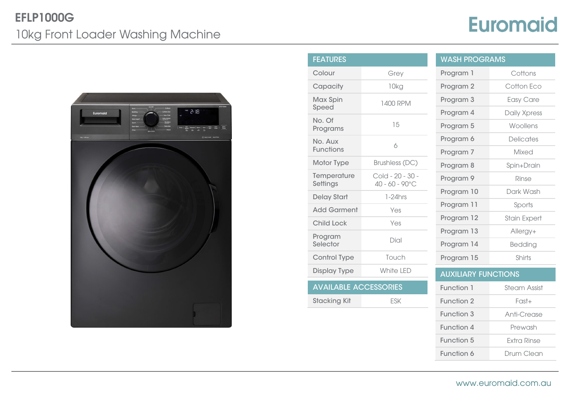## EFLP1000G 10kg Front Loader Washing Machine

## **Euromaid**



| <b>FEATURES</b>              |                                              | <b>WASH PROGRAMS</b>       |                     |
|------------------------------|----------------------------------------------|----------------------------|---------------------|
| Colour                       | Grey                                         | Program 1                  | Cottons             |
| Capacity                     | 10kg                                         | Program 2                  | Cotton Eco          |
| Max Spin<br>Speed            | 1400 RPM                                     | Program 3                  | Easy Care           |
| No. Of                       |                                              | Program 4                  | Daily Xpress        |
| Programs                     | 15                                           | Program 5                  | Woollens            |
| No. Aux<br><b>Functions</b>  | 6                                            | Program 6                  | <b>Delicates</b>    |
|                              |                                              | Program 7                  | Mixed               |
| Motor Type                   | Brushless (DC)                               | Program 8                  | Spin+Drain          |
| Temperature<br>Settings      | Cold - 20 - 30 -<br>$40 - 60 - 90^{\circ}$ C | Program 9                  | Rinse               |
| <b>Delay Start</b>           | $1-24$ hrs                                   | Program 10                 | Dark Wash           |
| <b>Add Garment</b>           | Yes                                          | Program 11                 | Sports              |
| <b>Child Lock</b>            | Yes                                          | Program 12                 | <b>Stain Expert</b> |
|                              |                                              | Program 13                 | Allergy+            |
| Program<br>Selector          | Dial                                         | Program 14                 | Bedding             |
| Control Type                 | Touch                                        | Program 15                 | Shirts              |
| <b>Display Type</b>          | White LED                                    | <b>AUXILIARY FUNCTIONS</b> |                     |
| <b>AVAILABLE ACCESSORIES</b> |                                              | Function 1                 | <b>Steam Assist</b> |
| <b>Stacking Kit</b>          | <b>ESK</b>                                   | Function 2                 | $Fast+$             |
|                              |                                              | Function 3                 | Anti-Crease         |

| <b>WASH PROGRAMS</b>       |                     |  |  |  |
|----------------------------|---------------------|--|--|--|
| Program 1                  | Cottons             |  |  |  |
| Program <sub>2</sub>       | Cotton Eco          |  |  |  |
| Program 3                  | Easy Care           |  |  |  |
| Program 4                  | Daily Xpress        |  |  |  |
| Program 5                  | Woollens            |  |  |  |
| Program 6                  | <b>Delicates</b>    |  |  |  |
| Program 7                  | Mixed               |  |  |  |
| Program 8                  | Spin+Drain          |  |  |  |
| Program 9                  | Rinse               |  |  |  |
| Program 10                 | Dark Wash           |  |  |  |
| Program 11                 | Sports              |  |  |  |
| Program 12                 | <b>Stain Expert</b> |  |  |  |
| Program 13                 | Allergy+            |  |  |  |
| Program 14                 | Bedding             |  |  |  |
| Program 15                 | Shirts              |  |  |  |
| <b>AUXILIARY FUNCTIONS</b> |                     |  |  |  |
| Function 1                 | Steam Assist        |  |  |  |

| www.euromaid.com.au |  |  |
|---------------------|--|--|
|                     |  |  |

Function 4 Prewash Function 5 Extra Rinse Function 6 Drum Clean